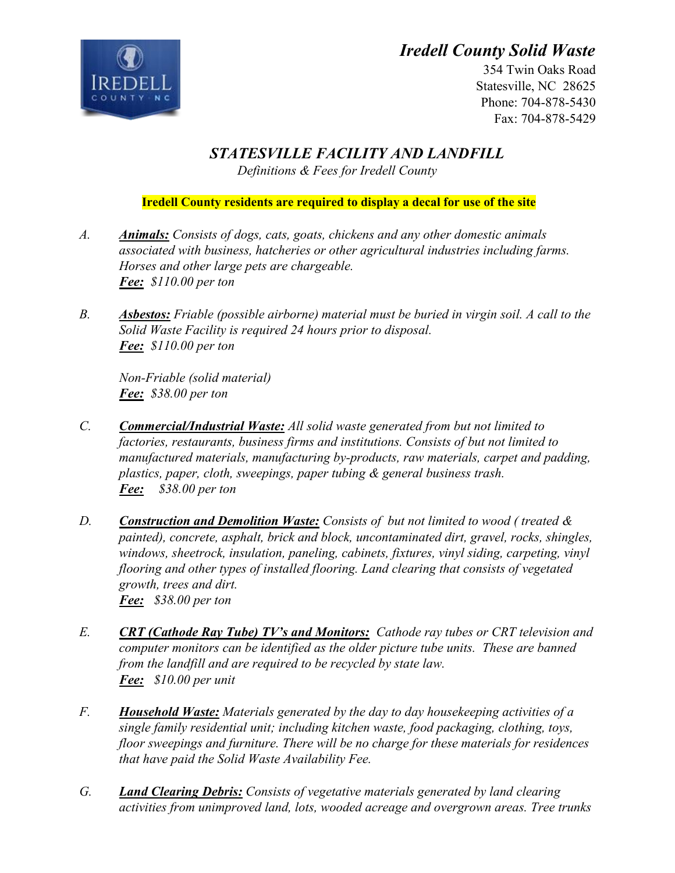## *Iredell County Solid Waste*



354 Twin Oaks Road Statesville, NC 28625 Phone: 704-878-5430 Fax: 704-878-5429

*STATESVILLE FACILITY AND LANDFILL* 

*Definitions & Fees for Iredell County* 

## **Iredell County residents are required to display a decal for use of the site**

- *A. Animals: Consists of dogs, cats, goats, chickens and any other domestic animals associated with business, hatcheries or other agricultural industries including farms. Horses and other large pets are chargeable. Fee: \$110.00 per ton*
- *B. Asbestos: Friable (possible airborne) material must be buried in virgin soil. A call to the Solid Waste Facility is required 24 hours prior to disposal. Fee: \$110.00 per ton*

*Non-Friable (solid material) Fee: \$38.00 per ton* 

- *C. Commercial/Industrial Waste: All solid waste generated from but not limited to factories, restaurants, business firms and institutions. Consists of but not limited to manufactured materials, manufacturing by-products, raw materials, carpet and padding, plastics, paper, cloth, sweepings, paper tubing & general business trash. Fee: \$38.00 per ton*
- *D. Construction and Demolition Waste: Consists of but not limited to wood ( treated & painted), concrete, asphalt, brick and block, uncontaminated dirt, gravel, rocks, shingles, windows, sheetrock, insulation, paneling, cabinets, fixtures, vinyl siding, carpeting, vinyl flooring and other types of installed flooring. Land clearing that consists of vegetated growth, trees and dirt. Fee: \$38.00 per ton*
- *E. CRT (Cathode Ray Tube) TV's and Monitors: Cathode ray tubes or CRT television and computer monitors can be identified as the older picture tube units. These are banned from the landfill and are required to be recycled by state law. Fee: \$10.00 per unit*
- *F. Household Waste: Materials generated by the day to day housekeeping activities of a single family residential unit; including kitchen waste, food packaging, clothing, toys, floor sweepings and furniture. There will be no charge for these materials for residences that have paid the Solid Waste Availability Fee.*
- *G. Land Clearing Debris: Consists of vegetative materials generated by land clearing activities from unimproved land, lots, wooded acreage and overgrown areas. Tree trunks*